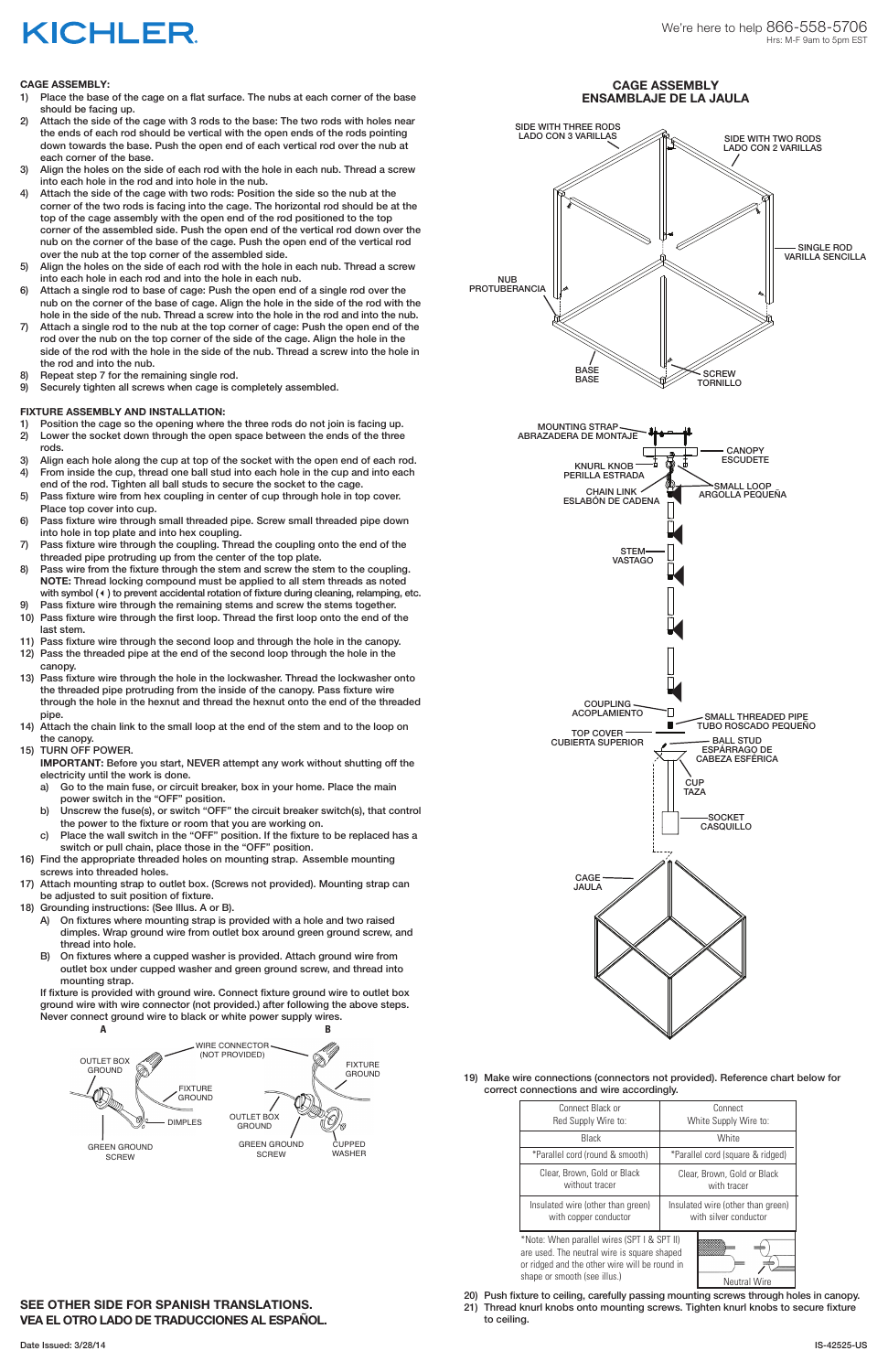#### **CAGE ASSEMBLY:**

- 1) Place the base of the cage on a flat surface. The nubs at each corner of the base should be facing up.
- 2) Attach the side of the cage with 3 rods to the base: The two rods with holes near the ends of each rod should be vertical with the open ends of the rods pointing down towards the base. Push the open end of each vertical rod over the nub at each corner of the base.
- 3) Align the holes on the side of each rod with the hole in each nub. Thread a screw into each hole in the rod and into hole in the nub.
- 4) Attach the side of the cage with two rods: Position the side so the nub at the corner of the two rods is facing into the cage. The horizontal rod should be at the top of the cage assembly with the open end of the rod positioned to the top corner of the assembled side. Push the open end of the vertical rod down over the nub on the corner of the base of the cage. Push the open end of the vertical rod over the nub at the top corner of the assembled side.
- 5) Align the holes on the side of each rod with the hole in each nub. Thread a screw into each hole in each rod and into the hole in each nub.
- 6) Attach a single rod to base of cage: Push the open end of a single rod over the nub on the corner of the base of cage. Align the hole in the side of the rod with the hole in the side of the nub. Thread a screw into the hole in the rod and into the nub.
- 7) Attach a single rod to the nub at the top corner of cage: Push the open end of the rod over the nub on the top corner of the side of the cage. Align the hole in the side of the rod with the hole in the side of the nub. Thread a screw into the hole in the rod and into the nub.
- 8) Repeat step 7 for the remaining single rod.
- 9) Securely tighten all screws when cage is completely assembled.

### **FIXTURE ASSEMBLY AND INSTALLATION:**

- 1) Position the cage so the opening where the three rods do not join is facing up.
- 2) Lower the socket down through the open space between the ends of the three rods.
- 3) Align each hole along the cup at top of the socket with the open end of each rod. 4) From inside the cup, thread one ball stud into each hole in the cup and into each
- end of the rod. Tighten all ball studs to secure the socket to the cage. 5) Pass fixture wire from hex coupling in center of cup through hole in top cover.
- Place top cover into cup.
- 6) Pass fixture wire through small threaded pipe. Screw small threaded pipe down into hole in top plate and into hex coupling.
- 7) Pass fixture wire through the coupling. Thread the coupling onto the end of the threaded pipe protruding up from the center of the top plate.
- 8) Pass wire from the fixture through the stem and screw the stem to the coupling. **NOTE:** Thread locking compound must be applied to all stem threads as noted with symbol (4) to prevent accidental rotation of fixture during cleaning, relamping, etc.
- 9) Pass fixture wire through the remaining stems and screw the stems together.
- 10) Pass fixture wire through the first loop. Thread the first loop onto the end of the last stem.
- 11) Pass fixture wire through the second loop and through the hole in the canopy.
- 12) Pass the threaded pipe at the end of the second loop through the hole in the canopy.
- 13) Pass fixture wire through the hole in the lockwasher. Thread the lockwasher onto the threaded pipe protruding from the inside of the canopy. Pass fixture wire through the hole in the hexnut and thread the hexnut onto the end of the threaded pipe.
- 14) Attach the chain link to the small loop at the end of the stem and to the loop on the canopy.
- 15) TURN OFF POWER.

**IMPORTANT:** Before you start, NEVER attempt any work without shutting off the electricity until the work is done.

- a) Go to the main fuse, or circuit breaker, box in your home. Place the main power switch in the "OFF" position.
- b) Unscrew the fuse(s), or switch "OFF" the circuit breaker switch(s), that control the power to the fixture or room that you are working on.
- c) Place the wall switch in the "OFF" position. If the fixture to be replaced has a switch or pull chain, place those in the "OFF" position.
- 16) Find the appropriate threaded holes on mounting strap. Assemble mounting screws into threaded holes.
- 17) Attach mounting strap to outlet box. (Screws not provided). Mounting strap can be adjusted to suit position of fixture.
- 18) Grounding instructions: (See Illus. A or B).
	- A) On fixtures where mounting strap is provided with a hole and two raised dimples. Wrap ground wire from outlet box around green ground screw, and thread into hole.
	- B) On fixtures where a cupped washer is provided. Attach ground wire from outlet box under cupped washer and green ground screw, and thread into mounting strap.

If fixture is provided with ground wire. Connect fixture ground wire to outlet box ground wire with wire connector (not provided.) after following the above steps.

Never connect ground wire to black or white power supply wires.

### **SEE OTHER SIDE FOR SPANISH TRANSLATIONS. VEA EL OTRO LADO DE TRADUCCIONES AL ESPAÑOL.**





# **KICHLER**

19) Make wire connections (connectors not provided). Reference chart below for correct connections and wire accordingly.

- 20) Push fixture to ceiling, carefully passing mounting screws through holes in canopy.
- 21) Thread knurl knobs onto mounting screws. Tighten knurl knobs to secure fixture to ceiling.

| Connect Black or                                                                                                                                                                                   | Connect                           |
|----------------------------------------------------------------------------------------------------------------------------------------------------------------------------------------------------|-----------------------------------|
| Red Supply Wire to:                                                                                                                                                                                | White Supply Wire to:             |
| <b>Black</b>                                                                                                                                                                                       | White                             |
| *Parallel cord (round & smooth)                                                                                                                                                                    | *Parallel cord (square & ridged)  |
| Clear, Brown, Gold or Black                                                                                                                                                                        | Clear, Brown, Gold or Black       |
| without tracer                                                                                                                                                                                     | with tracer                       |
| Insulated wire (other than green)                                                                                                                                                                  | Insulated wire (other than green) |
| with copper conductor                                                                                                                                                                              | with silver conductor             |
| *Note: When parallel wires (SPT I & SPT II)<br>are used. The neutral wire is square shaped<br>or ridged and the other wire will be round in<br>shape or smooth (see illus.)<br><b>Neutral Wire</b> |                                   |

### **CAGE ASSEMBLY ENSAMBLAJE DE LA JAULA**